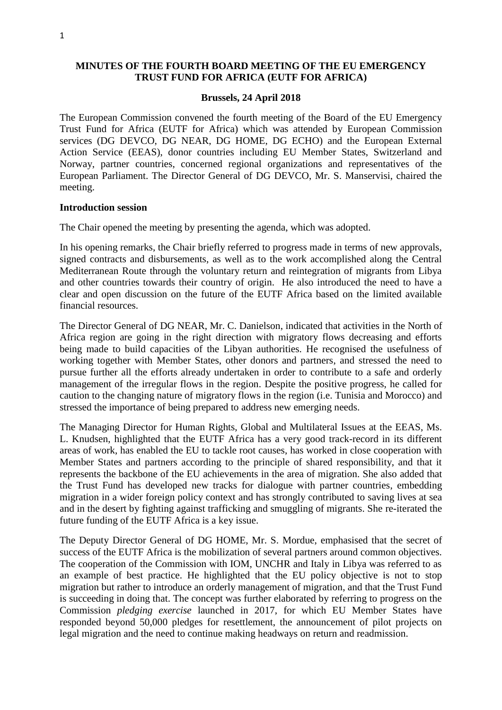# **MINUTES OF THE FOURTH BOARD MEETING OF THE EU EMERGENCY TRUST FUND FOR AFRICA (EUTF FOR AFRICA)**

#### **Brussels, 24 April 2018**

The European Commission convened the fourth meeting of the Board of the EU Emergency Trust Fund for Africa (EUTF for Africa) which was attended by European Commission services (DG DEVCO, DG NEAR, DG HOME, DG ECHO) and the European External Action Service (EEAS), donor countries including EU Member States, Switzerland and Norway, partner countries, concerned regional organizations and representatives of the European Parliament. The Director General of DG DEVCO, Mr. S. Manservisi, chaired the meeting.

#### **Introduction session**

The Chair opened the meeting by presenting the agenda, which was adopted.

In his opening remarks, the Chair briefly referred to progress made in terms of new approvals, signed contracts and disbursements, as well as to the work accomplished along the Central Mediterranean Route through the voluntary return and reintegration of migrants from Libya and other countries towards their country of origin. He also introduced the need to have a clear and open discussion on the future of the EUTF Africa based on the limited available financial resources.

The Director General of DG NEAR, Mr. C. Danielson, indicated that activities in the North of Africa region are going in the right direction with migratory flows decreasing and efforts being made to build capacities of the Libyan authorities. He recognised the usefulness of working together with Member States, other donors and partners, and stressed the need to pursue further all the efforts already undertaken in order to contribute to a safe and orderly management of the irregular flows in the region. Despite the positive progress, he called for caution to the changing nature of migratory flows in the region (i.e. Tunisia and Morocco) and stressed the importance of being prepared to address new emerging needs.

The Managing Director for Human Rights, Global and Multilateral Issues at the EEAS, Ms. L. Knudsen, highlighted that the EUTF Africa has a very good track-record in its different areas of work, has enabled the EU to tackle root causes, has worked in close cooperation with Member States and partners according to the principle of shared responsibility, and that it represents the backbone of the EU achievements in the area of migration. She also added that the Trust Fund has developed new tracks for dialogue with partner countries, embedding migration in a wider foreign policy context and has strongly contributed to saving lives at sea and in the desert by fighting against trafficking and smuggling of migrants. She re-iterated the future funding of the EUTF Africa is a key issue.

The Deputy Director General of DG HOME, Mr. S. Mordue, emphasised that the secret of success of the EUTF Africa is the mobilization of several partners around common objectives. The cooperation of the Commission with IOM, UNCHR and Italy in Libya was referred to as an example of best practice. He highlighted that the EU policy objective is not to stop migration but rather to introduce an orderly management of migration, and that the Trust Fund is succeeding in doing that. The concept was further elaborated by referring to progress on the Commission *pledging exercise* launched in 2017, for which EU Member States have responded beyond 50,000 pledges for resettlement, the announcement of pilot projects on legal migration and the need to continue making headways on return and readmission.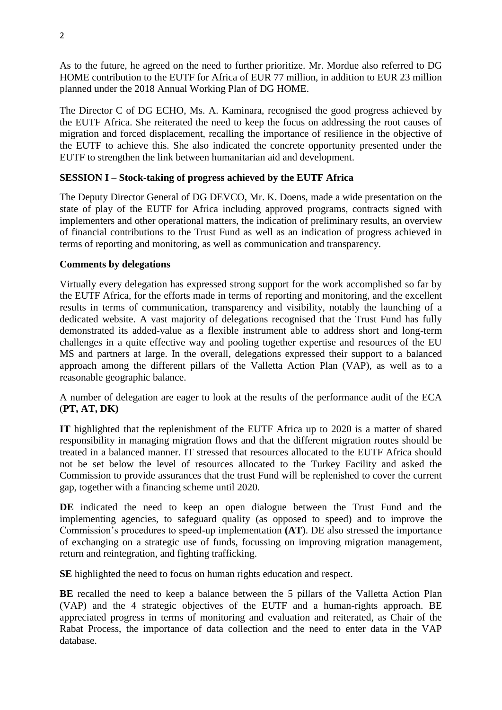As to the future, he agreed on the need to further prioritize. Mr. Mordue also referred to DG HOME contribution to the EUTF for Africa of EUR 77 million, in addition to EUR 23 million planned under the 2018 Annual Working Plan of DG HOME.

The Director C of DG ECHO, Ms. A. Kaminara, recognised the good progress achieved by the EUTF Africa. She reiterated the need to keep the focus on addressing the root causes of migration and forced displacement, recalling the importance of resilience in the objective of the EUTF to achieve this. She also indicated the concrete opportunity presented under the EUTF to strengthen the link between humanitarian aid and development.

# **SESSION I – Stock-taking of progress achieved by the EUTF Africa**

The Deputy Director General of DG DEVCO, Mr. K. Doens, made a wide presentation on the state of play of the EUTF for Africa including approved programs, contracts signed with implementers and other operational matters, the indication of preliminary results, an overview of financial contributions to the Trust Fund as well as an indication of progress achieved in terms of reporting and monitoring, as well as communication and transparency.

### **Comments by delegations**

Virtually every delegation has expressed strong support for the work accomplished so far by the EUTF Africa, for the efforts made in terms of reporting and monitoring, and the excellent results in terms of communication, transparency and visibility, notably the launching of a dedicated website. A vast majority of delegations recognised that the Trust Fund has fully demonstrated its added-value as a flexible instrument able to address short and long-term challenges in a quite effective way and pooling together expertise and resources of the EU MS and partners at large. In the overall, delegations expressed their support to a balanced approach among the different pillars of the Valletta Action Plan (VAP), as well as to a reasonable geographic balance.

A number of delegation are eager to look at the results of the performance audit of the ECA (**PT, AT, DK)**

**IT** highlighted that the replenishment of the EUTF Africa up to 2020 is a matter of shared responsibility in managing migration flows and that the different migration routes should be treated in a balanced manner. IT stressed that resources allocated to the EUTF Africa should not be set below the level of resources allocated to the Turkey Facility and asked the Commission to provide assurances that the trust Fund will be replenished to cover the current gap, together with a financing scheme until 2020.

**DE** indicated the need to keep an open dialogue between the Trust Fund and the implementing agencies, to safeguard quality (as opposed to speed) and to improve the Commission's procedures to speed-up implementation **(AT**). DE also stressed the importance of exchanging on a strategic use of funds, focussing on improving migration management, return and reintegration, and fighting trafficking.

**SE** highlighted the need to focus on human rights education and respect.

**BE** recalled the need to keep a balance between the 5 pillars of the Valletta Action Plan (VAP) and the 4 strategic objectives of the EUTF and a human-rights approach. BE appreciated progress in terms of monitoring and evaluation and reiterated, as Chair of the Rabat Process, the importance of data collection and the need to enter data in the VAP database.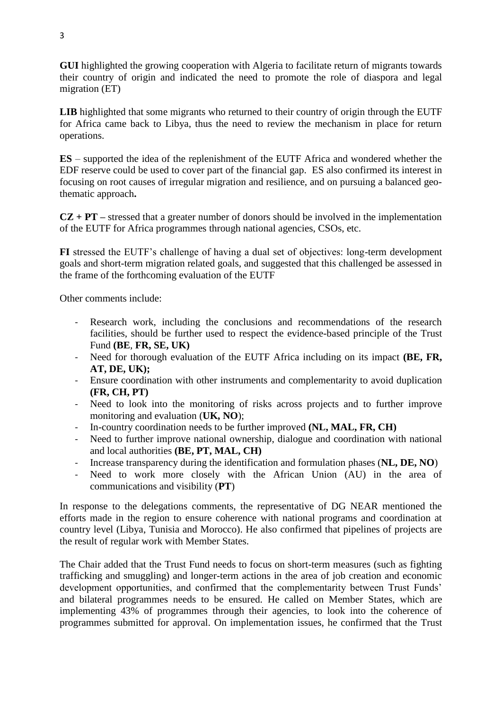**GUI** highlighted the growing cooperation with Algeria to facilitate return of migrants towards their country of origin and indicated the need to promote the role of diaspora and legal migration (ET)

**LIB** highlighted that some migrants who returned to their country of origin through the EUTF for Africa came back to Libya, thus the need to review the mechanism in place for return operations.

**ES** – supported the idea of the replenishment of the EUTF Africa and wondered whether the EDF reserve could be used to cover part of the financial gap. ES also confirmed its interest in focusing on root causes of irregular migration and resilience, and on pursuing a balanced geothematic approach**.** 

 $CZ + PT$  – stressed that a greater number of donors should be involved in the implementation of the EUTF for Africa programmes through national agencies, CSOs, etc.

**FI** stressed the EUTF's challenge of having a dual set of objectives: long-term development goals and short-term migration related goals, and suggested that this challenged be assessed in the frame of the forthcoming evaluation of the EUTF

Other comments include:

- Research work, including the conclusions and recommendations of the research facilities, should be further used to respect the evidence-based principle of the Trust Fund **(BE**, **FR, SE, UK)**
- Need for thorough evaluation of the EUTF Africa including on its impact **(BE, FR, AT, DE, UK);**
- Ensure coordination with other instruments and complementarity to avoid duplication **(FR, CH, PT)**
- Need to look into the monitoring of risks across projects and to further improve monitoring and evaluation (**UK, NO**);
- In-country coordination needs to be further improved **(NL, MAL, FR, CH)**
- Need to further improve national ownership, dialogue and coordination with national and local authorities **(BE, PT, MAL, CH)**
- Increase transparency during the identification and formulation phases (**NL, DE, NO**)
- Need to work more closely with the African Union (AU) in the area of communications and visibility (**PT**)

In response to the delegations comments, the representative of DG NEAR mentioned the efforts made in the region to ensure coherence with national programs and coordination at country level (Libya, Tunisia and Morocco). He also confirmed that pipelines of projects are the result of regular work with Member States.

The Chair added that the Trust Fund needs to focus on short-term measures (such as fighting trafficking and smuggling) and longer-term actions in the area of job creation and economic development opportunities, and confirmed that the complementarity between Trust Funds' and bilateral programmes needs to be ensured. He called on Member States, which are implementing 43% of programmes through their agencies, to look into the coherence of programmes submitted for approval. On implementation issues, he confirmed that the Trust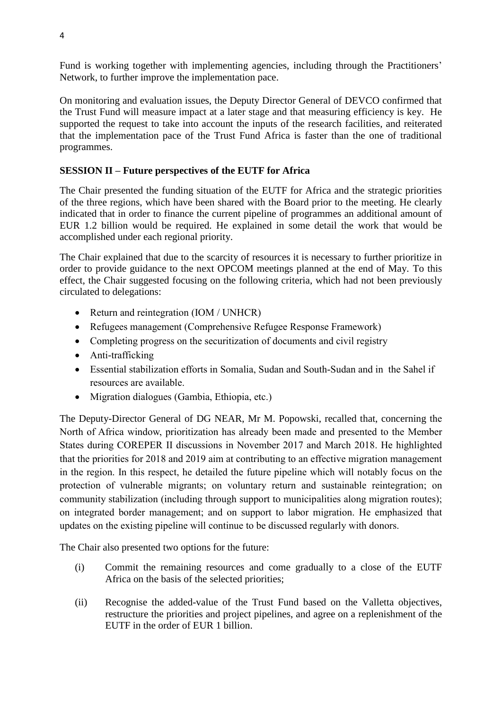Fund is working together with implementing agencies, including through the Practitioners' Network, to further improve the implementation pace.

On monitoring and evaluation issues, the Deputy Director General of DEVCO confirmed that the Trust Fund will measure impact at a later stage and that measuring efficiency is key. He supported the request to take into account the inputs of the research facilities, and reiterated that the implementation pace of the Trust Fund Africa is faster than the one of traditional programmes.

# **SESSION II – Future perspectives of the EUTF for Africa**

The Chair presented the funding situation of the EUTF for Africa and the strategic priorities of the three regions, which have been shared with the Board prior to the meeting. He clearly indicated that in order to finance the current pipeline of programmes an additional amount of EUR 1.2 billion would be required. He explained in some detail the work that would be accomplished under each regional priority.

The Chair explained that due to the scarcity of resources it is necessary to further prioritize in order to provide guidance to the next OPCOM meetings planned at the end of May. To this effect, the Chair suggested focusing on the following criteria, which had not been previously circulated to delegations:

- Return and reintegration (IOM / UNHCR)
- Refugees management (Comprehensive Refugee Response Framework)
- Completing progress on the securitization of documents and civil registry
- Anti-trafficking
- Essential stabilization efforts in Somalia, Sudan and South-Sudan and in the Sahel if resources are available.
- Migration dialogues (Gambia, Ethiopia, etc.)

The Deputy-Director General of DG NEAR, Mr M. Popowski, recalled that, concerning the North of Africa window, prioritization has already been made and presented to the Member States during COREPER II discussions in November 2017 and March 2018. He highlighted that the priorities for 2018 and 2019 aim at contributing to an effective migration management in the region. In this respect, he detailed the future pipeline which will notably focus on the protection of vulnerable migrants; on voluntary return and sustainable reintegration; on community stabilization (including through support to municipalities along migration routes); on integrated border management; and on support to labor migration. He emphasized that updates on the existing pipeline will continue to be discussed regularly with donors.

The Chair also presented two options for the future:

- (i) Commit the remaining resources and come gradually to a close of the EUTF Africa on the basis of the selected priorities;
- (ii) Recognise the added-value of the Trust Fund based on the Valletta objectives, restructure the priorities and project pipelines, and agree on a replenishment of the EUTF in the order of EUR 1 billion.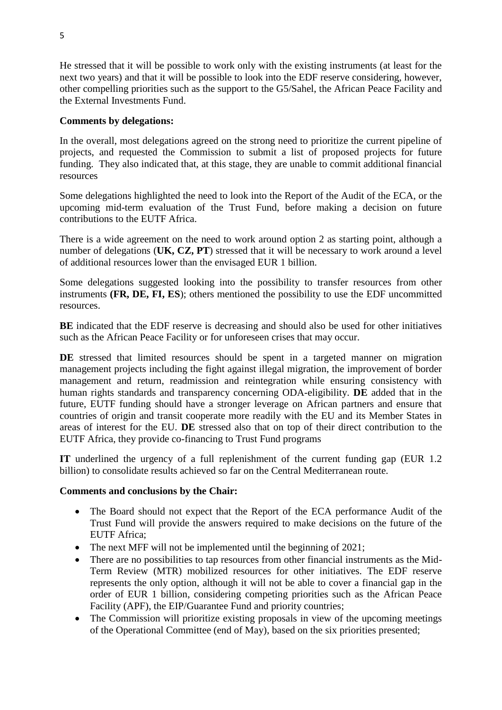He stressed that it will be possible to work only with the existing instruments (at least for the next two years) and that it will be possible to look into the EDF reserve considering, however, other compelling priorities such as the support to the G5/Sahel, the African Peace Facility and the External Investments Fund.

### **Comments by delegations:**

In the overall, most delegations agreed on the strong need to prioritize the current pipeline of projects, and requested the Commission to submit a list of proposed projects for future funding. They also indicated that, at this stage, they are unable to commit additional financial resources

Some delegations highlighted the need to look into the Report of the Audit of the ECA, or the upcoming mid-term evaluation of the Trust Fund, before making a decision on future contributions to the EUTF Africa.

There is a wide agreement on the need to work around option 2 as starting point, although a number of delegations (**UK, CZ, PT**) stressed that it will be necessary to work around a level of additional resources lower than the envisaged EUR 1 billion.

Some delegations suggested looking into the possibility to transfer resources from other instruments **(FR, DE, FI, ES**); others mentioned the possibility to use the EDF uncommitted resources.

**BE** indicated that the EDF reserve is decreasing and should also be used for other initiatives such as the African Peace Facility or for unforeseen crises that may occur.

DE stressed that limited resources should be spent in a targeted manner on migration management projects including the fight against illegal migration, the improvement of border management and return, readmission and reintegration while ensuring consistency with human rights standards and transparency concerning ODA-eligibility. **DE** added that in the future, EUTF funding should have a stronger leverage on African partners and ensure that countries of origin and transit cooperate more readily with the EU and its Member States in areas of interest for the EU. **DE** stressed also that on top of their direct contribution to the EUTF Africa, they provide co-financing to Trust Fund programs

**IT** underlined the urgency of a full replenishment of the current funding gap (EUR 1.2 billion) to consolidate results achieved so far on the Central Mediterranean route.

#### **Comments and conclusions by the Chair:**

- The Board should not expect that the Report of the ECA performance Audit of the Trust Fund will provide the answers required to make decisions on the future of the EUTF Africa;
- The next MFF will not be implemented until the beginning of 2021;
- There are no possibilities to tap resources from other financial instruments as the Mid-Term Review (MTR) mobilized resources for other initiatives. The EDF reserve represents the only option, although it will not be able to cover a financial gap in the order of EUR 1 billion, considering competing priorities such as the African Peace Facility (APF), the EIP/Guarantee Fund and priority countries;
- The Commission will prioritize existing proposals in view of the upcoming meetings of the Operational Committee (end of May), based on the six priorities presented;